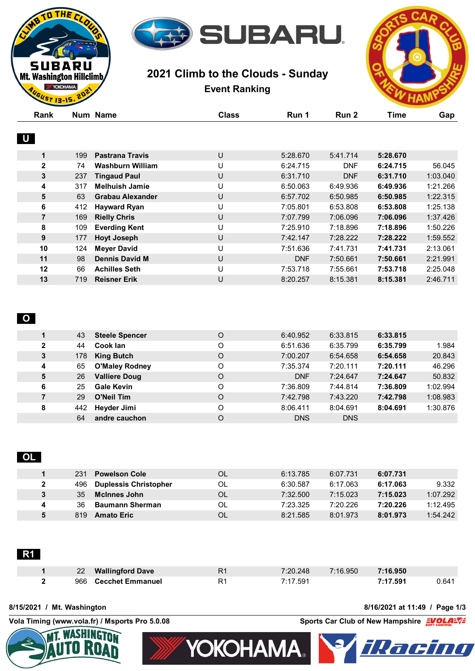

# **2021 Climb to the Clouds - Sunday Event Ranking**



| Rank         |     | Num Name                | <b>Class</b> | Run 1      | Run 2      | <b>Time</b> | Gap      |
|--------------|-----|-------------------------|--------------|------------|------------|-------------|----------|
| $\mathbf U$  |     |                         |              |            |            |             |          |
| 1            | 199 | <b>Pastrana Travis</b>  | U            | 5:28.670   | 5:41.714   | 5:28.670    |          |
| $\mathbf{2}$ | 74  | Washburn William        | U            | 6:24.715   | <b>DNF</b> | 6:24.715    | 56.045   |
| 3            | 237 | <b>Tingaud Paul</b>     | U            | 6:31.710   | <b>DNF</b> | 6:31.710    | 1:03.040 |
| 4            | 317 | <b>Melhuish Jamie</b>   | U            | 6:50.063   | 6:49.936   | 6:49.936    | 1:21.266 |
| 5            | 63  | <b>Grabau Alexander</b> | U            | 6:57.702   | 6:50.985   | 6:50.985    | 1:22.315 |
| 6            | 412 | <b>Hayward Ryan</b>     | U            | 7:05.801   | 6:53.808   | 6:53.808    | 1:25.138 |
| 7            | 169 | <b>Rielly Chris</b>     | U            | 7:07.799   | 7:06.096   | 7:06.096    | 1:37.426 |
| 8            | 109 | <b>Everding Kent</b>    | U            | 7:25.910   | 7:18.896   | 7:18.896    | 1:50.226 |
| 9            | 177 | <b>Hoyt Joseph</b>      | U            | 7:42.147   | 7:28.222   | 7:28.222    | 1:59.552 |
| 10           | 124 | <b>Meyer David</b>      | U            | 7:51.636   | 7:41.731   | 7:41.731    | 2:13.061 |
| 11           | 98  | <b>Dennis David M</b>   | U            | <b>DNF</b> | 7:50.661   | 7:50.661    | 2:21.991 |
| 12           | 66  | <b>Achilles Seth</b>    | U            | 7:53.718   | 7:55.661   | 7:53.718    | 2:25.048 |
| 13           | 719 | <b>Reisner Erik</b>     | U            | 8:20.257   | 8:15.381   | 8:15.381    | 2:46.711 |
|              |     |                         |              |            |            |             |          |

## **O**

THE<sub>I</sub>

BARU Mt. Washington Hillclimb **YOKOHAMA.**  $15.15$ 

| 1            | 43  | <b>Steele Spencer</b> | O | 6:40.952   | 6:33.815   | 6:33.815 |          |
|--------------|-----|-----------------------|---|------------|------------|----------|----------|
| $\mathbf{2}$ | 44  | Cook lan              | O | 6:51.636   | 6:35.799   | 6:35.799 | 1.984    |
| 3            | 178 | <b>King Butch</b>     | O | 7:00.207   | 6:54.658   | 6:54.658 | 20.843   |
| 4            | 65  | <b>O'Maley Rodney</b> | O | 7:35.374   | 7:20.111   | 7:20.111 | 46.296   |
| 5            | 26  | <b>Valliere Doug</b>  | O | <b>DNF</b> | 7:24.647   | 7:24.647 | 50.832   |
| 6            | 25  | <b>Gale Kevin</b>     | O | 7:36.809   | 7:44.814   | 7:36.809 | 1:02.994 |
| 7            | 29  | <b>O'Neil Tim</b>     | O | 7:42.798   | 7:43.220   | 7:42.798 | 1:08.983 |
| 8            | 442 | Heyder Jimi           | O | 8:06.411   | 8:04.691   | 8:04.691 | 1:30.876 |
|              | 64  | andre cauchon         | O | <b>DNS</b> | <b>DNS</b> |          |          |
|              |     |                       |   |            |            |          |          |

# **OL**

|   | 231 | <b>Powelson Cole</b>         | OL | 6:13.785 | 6:07.731 | 6:07.731 |          |
|---|-----|------------------------------|----|----------|----------|----------|----------|
|   | 496 | <b>Duplessis Christopher</b> | OL | 6:30.587 | 6:17.063 | 6:17.063 | 9.332    |
|   | 35  | <b>McInnes John</b>          | OL | 7:32.500 | 7:15.023 | 7:15.023 | 1:07.292 |
| 4 | 36  | <b>Baumann Sherman</b>       | OL | 7:23.325 | 7:20.226 | 7:20.226 | 1:12.495 |
|   | 819 | <b>Amato Eric</b>            | OL | 8:21.585 | 8:01.973 | 8:01.973 | 1:54.242 |

| $22 \overline{ }$<br><b>Wallingford Dave</b> | R <sub>1</sub> | 7:20.248 | 7:16.950 | 7:16.950 |       |
|----------------------------------------------|----------------|----------|----------|----------|-------|
| 966 Cecchet Emmanuel                         | R <sub>1</sub> | 7:17.591 |          | 7:17.591 | ∵64 ل |

### **8/15/2021 / Mt. Washington 8/16/2021 at 11:49 / Page 1/3**

**Vola Timing (www.vola.fr) / Msports Pro 5.0.08 Sports Car Club of New Hampshire**  $\frac{2VGM}{s}$ 



**YOKOHAMA.** 

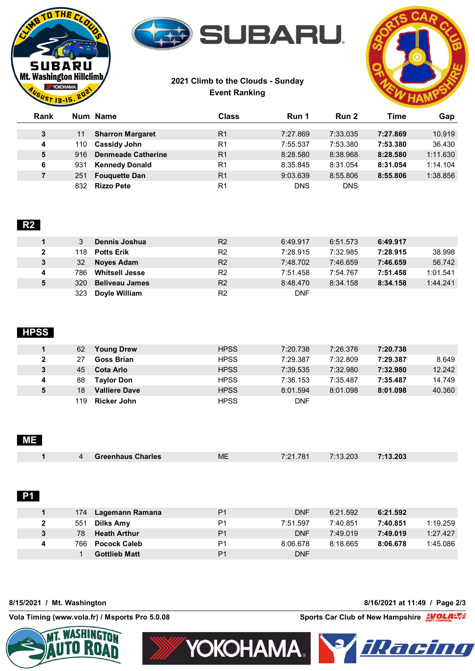



# **2021 Climb to the Clouds - Sunday Event Ranking**



| Rank |     | Num Name                  | Class          | Run 1      | Run 2      | Time     | Gap      |
|------|-----|---------------------------|----------------|------------|------------|----------|----------|
|      |     |                           |                |            |            |          |          |
| 3    | 11  | <b>Sharron Margaret</b>   | R <sub>1</sub> | 7:27.869   | 7:33.035   | 7:27.869 | 10.919   |
| 4    | 110 | <b>Cassidy John</b>       | R <sub>1</sub> | 7:55.537   | 7:53.380   | 7:53.380 | 36.430   |
| 5    | 916 | <b>Denmeade Catherine</b> | R <sub>1</sub> | 8:28.580   | 8:38.968   | 8:28.580 | 1:11.630 |
| 6    | 931 | <b>Kennedy Donald</b>     | R <sub>1</sub> | 8:35.845   | 8:31.054   | 8:31.054 | 1:14.104 |
| 7    | 251 | <b>Fouguette Dan</b>      | R <sub>1</sub> | 9:03.639   | 8:55.806   | 8:55.806 | 1:38.856 |
|      | 832 | <b>Rizzo Pete</b>         | R <sub>1</sub> | <b>DNS</b> | <b>DNS</b> |          |          |

# **R2**

|              | Dennis Joshua                | R <sub>2</sub> | 6:49.917   | 6:51.573 | 6:49.917 |          |
|--------------|------------------------------|----------------|------------|----------|----------|----------|
| $\mathbf{2}$ | 118.<br><b>Potts Erik</b>    | R <sub>2</sub> | 7:28.915   | 7:32.985 | 7:28.915 | 38.998   |
| 3            | 32<br><b>Noves Adam</b>      | R <sub>2</sub> | 7:48.702   | 7:46.659 | 7:46.659 | 56.742   |
| 4            | <b>Whitsell Jesse</b><br>786 | R <sub>2</sub> | 7:51.458   | 7:54.767 | 7:51.458 | 1:01.541 |
| 5            | 320<br><b>Beliveau James</b> | R <sub>2</sub> | 8:48.470   | 8:34.158 | 8:34.158 | 1:44.241 |
|              | Doyle William<br>323         | R <sub>2</sub> | <b>DNF</b> |          |          |          |

# **HPSS**

|   | 62<br><b>Young Drew</b>    | <b>HPSS</b> | 7:20.738   | 7:26.376 | 7:20.738 |        |
|---|----------------------------|-------------|------------|----------|----------|--------|
|   | Goss Brian<br>27           | <b>HPSS</b> | 7:29.387   | 7:32.809 | 7:29.387 | 8.649  |
|   | Cota Arlo<br>45            | <b>HPSS</b> | 7:39.535   | 7:32.980 | 7:32.980 | 12.242 |
| 4 | 88<br><b>Tavlor Don</b>    | <b>HPSS</b> | 7:36.153   | 7:35.487 | 7:35.487 | 14.749 |
|   | 18<br><b>Valliere Dave</b> | <b>HPSS</b> | 8:01.594   | 8:01.098 | 8:01.098 | 40.360 |
|   | <b>Ricker John</b><br>119. | <b>HPSS</b> | <b>DNF</b> |          |          |        |

### **ME**

| $\mathbf{\Delta}$ | <b>Greenhaus Charles</b> | ME | 7:21.781 | 7:13.203 | 7:13.203 |  |
|-------------------|--------------------------|----|----------|----------|----------|--|

### **P1**

|              | 174 | Lagemann Ramana      | P <sub>1</sub> | <b>DNF</b> | 6:21.592 | 6:21.592 |          |
|--------------|-----|----------------------|----------------|------------|----------|----------|----------|
| $\mathbf{2}$ | 551 | Dilks Amy            | P1             | 7:51.597   | 7:40.851 | 7:40.851 | 1:19.259 |
| 3            | 78  | <b>Heath Arthur</b>  | P <sub>1</sub> | <b>DNF</b> | 7:49.019 | 7:49.019 | 1:27.427 |
| 4            | 766 | <b>Pocock Caleb</b>  | P <sub>1</sub> | 8:06.678   | 8:18.665 | 8:06.678 | 1:45.086 |
|              |     | <b>Gottlieb Matt</b> | P <sub>1</sub> | DNF        |          |          |          |

**8/15/2021 / Mt. Washington 8/16/2021 at 11:49 / Page 2/3**

**Vola Timing (www.vola.fr) / Msports Pro 5.0.08 Sports Car Club of New Hampshire**  $\frac{1}{5}$